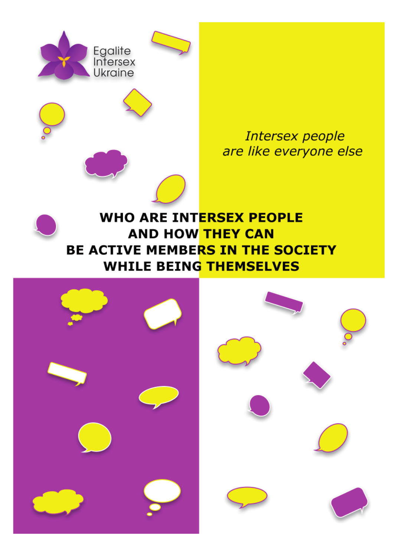

Intersex people are like everyone else

# **WHO ARE INTERSEX PEOPLE AND HOW THEY CAN BE ACTIVE MEMBERS IN THE SOCIETY WHILE BEING THEMSELVES**

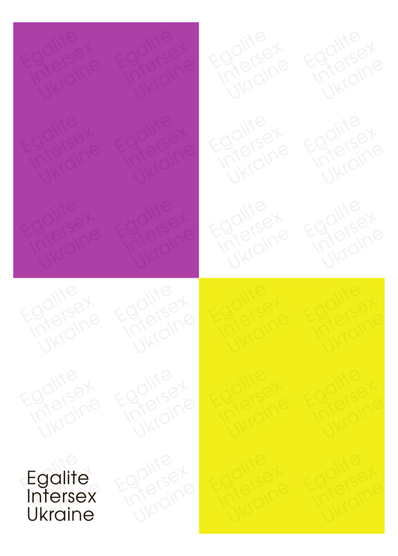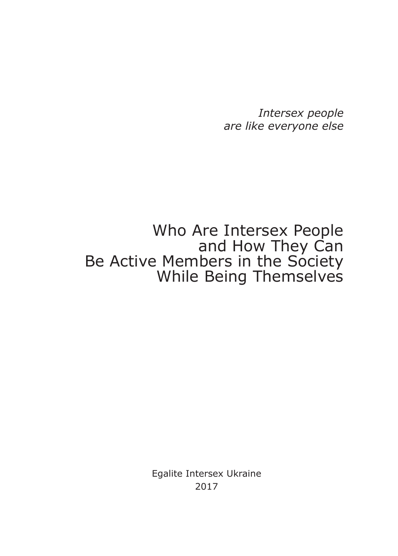*Intersex people are like everyone else*

# Who Are Intersex People and How They Can Be Active Members in the Society While Being Themselves

Egalite Intersex Ukraine 2017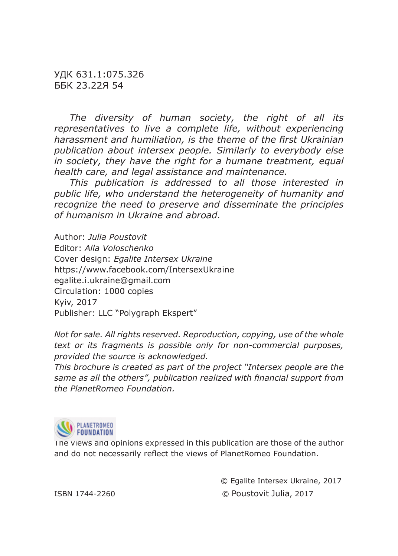УДК 631.1:075.326 ББК 23.22Я 54

*The diversity of human society, the right of all its representatives to live a complete life, without experiencing*  harassment and humiliation, is the theme of the first Ukrainian *publication about intersex people. Similarly to everybody else in society, they have the right for a humane treatment, equal health care, and legal assistance and maintenance.* 

*This publication is addressed to all those interested in public life, who understand the heterogeneity of humanity and recognize the need to preserve and disseminate the principles of humanism in Ukraine and abroad.*

Author: *Julia Poustovit* Editor: *Alla Voloschenko* Cover design: *Egalite Intersex Ukraine* https://www.facebook.com/IntersexUkraine egalite.i.ukraine@gmail.com Circulation: 1000 copies Kyiv, 2017 Publisher: LLC "Polygraph Ekspert"

*Not for sale. All rights reserved. Reproduction, copying, use of the whole text or its fragments is possible only for non-commercial purposes, provided the source is acknowledged.*

*This brochure is created as part of the project "Intersex people are the*  same as all the others", publication realized with financial support from *the PlanetRomeo Foundation.*



The views and opinions expressed in this publication are those of the author and do not necessarily reflect the views of PlanetRomeo Foundation.

© Egalite Intersex Ukraine, 2017

ISBN 1744-2260 © Poustovit Julia, 2017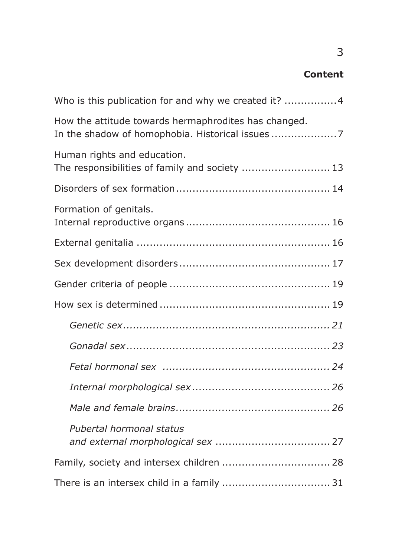# **Content**

| Who is this publication for and why we created it? 4                          |
|-------------------------------------------------------------------------------|
| How the attitude towards hermaphrodites has changed.                          |
| Human rights and education.<br>The responsibilities of family and society  13 |
|                                                                               |
| Formation of genitals.                                                        |
|                                                                               |
|                                                                               |
|                                                                               |
|                                                                               |
|                                                                               |
|                                                                               |
|                                                                               |
|                                                                               |
|                                                                               |
| Pubertal hormonal status                                                      |
| Family, society and intersex children  28                                     |
|                                                                               |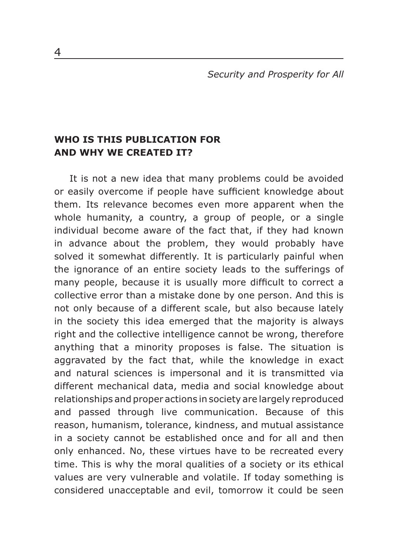*Security and Prosperity for All*

## **WHO IS THIS PUBLICATION FOR AND WHY WE CREATED IT?**

It is not a new idea that many problems could be avoided or easily overcome if people have sufficient knowledge about them. Its relevance becomes even more apparent when the whole humanity, a country, a group of people, or a single individual become aware of the fact that, if they had known in advance about the problem, they would probably have solved it somewhat differently. It is particularly painful when the ignorance of an entire society leads to the sufferings of many people, because it is usually more difficult to correct a collective error than a mistake done by one person. And this is not only because of a different scale, but also because lately in the society this idea emerged that the majority is always right and the collective intelligence cannot be wrong, therefore anything that a minority proposes is false. The situation is aggravated by the fact that, while the knowledge in exact and natural sciences is impersonal and it is transmitted via different mechanical data, media and social knowledge about relationships and proper actions in society are largely reproduced and passed through live communication. Because of this reason, humanism, tolerance, kindness, and mutual assistance in a society cannot be established once and for all and then only enhanced. No, these virtues have to be recreated every time. This is why the moral qualities of a society or its ethical values are very vulnerable and volatile. If today something is considered unacceptable and evil, tomorrow it could be seen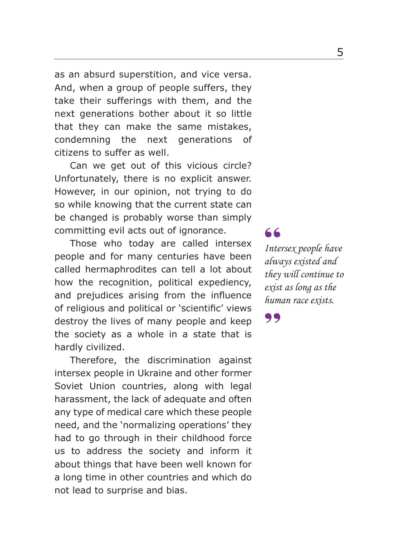as an absurd superstition, and vice versa. And, when a group of people suffers, they take their sufferings with them, and the next generations bother about it so little that they can make the same mistakes, condemning the next generations of citizens to suffer as well.

Can we get out of this vicious circle? Unfortunately, there is no explicit answer. However, in our opinion, not trying to do so while knowing that the current state can be changed is probably worse than simply committing evil acts out of ignorance.

Those who today are called intersex people and for many centuries have been called hermaphrodites can tell a lot about how the recognition, political expediency, and prejudices arising from the influence of religious and political or 'scientific' views destroy the lives of many people and keep the society as a whole in a state that is hardly civilized.

Therefore, the discrimination against intersex people in Ukraine and other former Soviet Union countries, along with legal harassment, the lack of adequate and often any type of medical care which these people need, and the 'normalizing operations' they had to go through in their childhood force us to address the society and inform it about things that have been well known for a long time in other countries and which do not lead to surprise and bias.

*Intersex people have always existed and they will continue to exist as long as the human race exists.* 66<br>Inte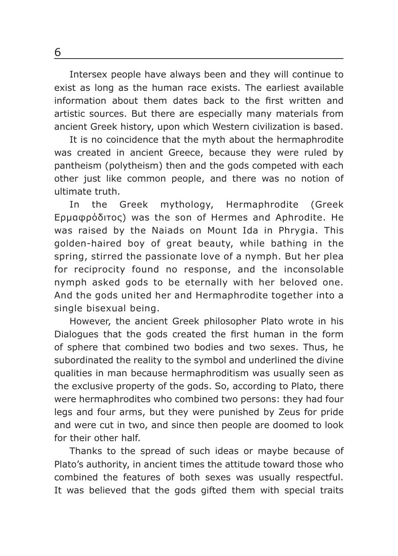Intersex people have always been and they will continue to exist as long as the human race exists. The earliest available information about them dates back to the first written and artistic sources. But there are especially many materials from ancient Greek history, upon which Western civilization is based.

It is no coincidence that the myth about the hermaphrodite was created in ancient Greece, because they were ruled by pantheism (polytheism) then and the gods competed with each other just like common people, and there was no notion of ultimate truth.

In the Greek mythology, Hermaphrodite (Greek Ερμαφρόδιτος) was the son of Hermes and Aphrodite. He was raised by the Naiads on Mount Ida in Phrygia. This golden-haired boy of great beauty, while bathing in the spring, stirred the passionate love of a nymph. But her plea for reciprocity found no response, and the inconsolable nymph asked gods to be eternally with her beloved one. And the gods united her and Hermaphrodite together into a single bisexual being.

However, the ancient Greek philosopher Plato wrote in his Dialogues that the gods created the first human in the form of sphere that combined two bodies and two sexes. Thus, he subordinated the reality to the symbol and underlined the divine qualities in man because hermaphroditism was usually seen as the exclusive property of the gods. So, according to Plato, there were hermaphrodites who combined two persons: they had four legs and four arms, but they were punished by Zeus for pride and were cut in two, and since then people are doomed to look for their other half.

Thanks to the spread of such ideas or maybe because of Plato's authority, in ancient times the attitude toward those who combined the features of both sexes was usually respectful. It was believed that the gods gifted them with special traits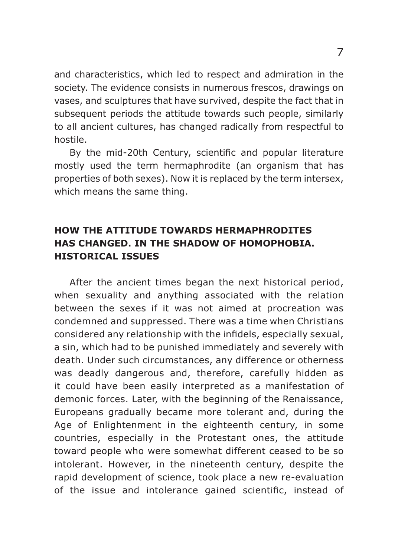and characteristics, which led to respect and admiration in the society. The evidence consists in numerous frescos, drawings on vases, and sculptures that have survived, despite the fact that in subsequent periods the attitude towards such people, similarly to all ancient cultures, has changed radically from respectful to hostile.

By the mid-20th Century, scientific and popular literature mostly used the term hermaphrodite (an organism that has properties of both sexes). Now it is replaced by the term intersex, which means the same thing.

# **HOW THE ATTITUDE TOWARDS HERMAPHRODITES HAS CHANGED. IN THE SHADOW OF HOMOPHOBIA. HISTORICAL ISSUES**

After the ancient times began the next historical period, when sexuality and anything associated with the relation between the sexes if it was not aimed at procreation was condemned and suppressed. There was a time when Christians considered any relationship with the infidels, especially sexual, a sin, which had to be punished immediately and severely with death. Under such circumstances, any difference or otherness was deadly dangerous and, therefore, carefully hidden as it could have been easily interpreted as a manifestation of demonic forces. Later, with the beginning of the Renaissance, Europeans gradually became more tolerant and, during the Age of Enlightenment in the eighteenth century, in some countries, especially in the Protestant ones, the attitude toward people who were somewhat different ceased to be so intolerant. However, in the nineteenth century, despite the rapid development of science, took place a new re-evaluation of the issue and intolerance gained scientific, instead of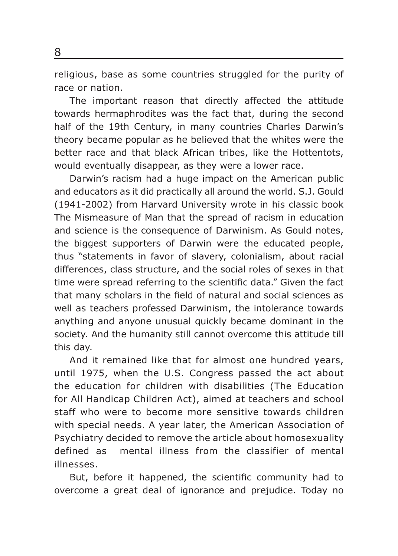religious, base as some countries struggled for the purity of race or nation.

The important reason that directly affected the attitude towards hermaphrodites was the fact that, during the second half of the 19th Century, in many countries Charles Darwin's theory became popular as he believed that the whites were the better race and that black African tribes, like the Hottentots, would eventually disappear, as they were a lower race.

Darwin's racism had a huge impact on the American public and educators as it did practically all around the world. S.J. Gould (1941-2002) from Harvard University wrote in his classic book The Mismeasure of Man that the spread of racism in education and science is the consequence of Darwinism. As Gould notes, the biggest supporters of Darwin were the educated people, thus "statements in favor of slavery, colonialism, about racial differences, class structure, and the social roles of sexes in that time were spread referring to the scientific data." Given the fact that many scholars in the field of natural and social sciences as well as teachers professed Darwinism, the intolerance towards anything and anyone unusual quickly became dominant in the society. And the humanity still cannot overcome this attitude till this day.

And it remained like that for almost one hundred years, until 1975, when the U.S. Congress passed the act about the education for children with disabilities (The Education for All Handicap Children Act), aimed at teachers and school staff who were to become more sensitive towards children with special needs. A year later, the American Association of Psychiatry decided to remove the article about homosexuality defined as mental illness from the classifier of mental illnesses.

But, before it happened, the scientific community had to overcome a great deal of ignorance and prejudice. Today no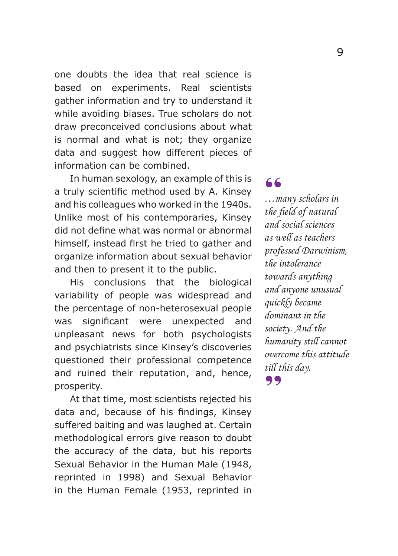one doubts the idea that real science is based on experiments. Real scientists gather information and try to understand it while avoiding biases. True scholars do not draw preconceived conclusions about what is normal and what is not; they organize data and suggest how different pieces of information can be combined.

In human sexology, an example of this is a truly scientific method used by A. Kinsey and his colleagues who worked in the 1940s. Unlike most of his contemporaries, Kinsey did not define what was normal or abnormal himself, instead first he tried to gather and organize information about sexual behavior and then to present it to the public.

His conclusions that the biological variability of people was widespread and the percentage of non-heterosexual people was significant were unexpected and unpleasant news for both psychologists and psychiatrists since Kinsey's discoveries questioned their professional competence and ruined their reputation, and, hence, prosperity.

At that time, most scientists rejected his data and, because of his findings, Kinsey suffered baiting and was laughed at. Certain methodological errors give reason to doubt the accuracy of the data, but his reports Sexual Behavior in the Human Male (1948, reprinted in 1998) and Sexual Behavior in the Human Female (1953, reprinted in

*…many scholars in the fi eld of natural and social sciences as well as teachers professed Darwinism, the intolerance towards anything and anyone unusual quickly became dominant in the society. And the humanity still cannot overcome this attitude till this day.*  $\begin{array}{c} 66 \\ ... \\ \text{the } t \end{array}$ 99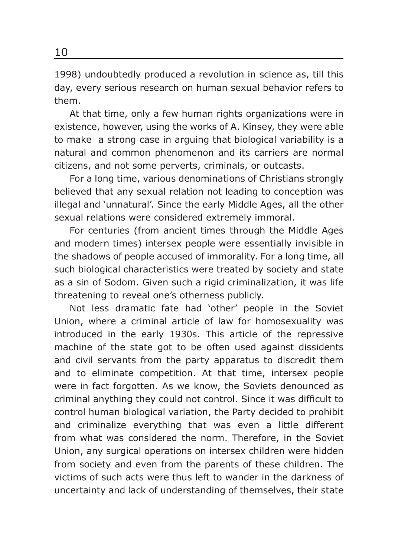1998) undoubtedly produced a revolution in science as, till this day, every serious research on human sexual behavior refers to them.

At that time, only a few human rights organizations were in existence, however, using the works of A. Kinsey, they were able to make a strong case in arguing that biological variability is a natural and common phenomenon and its carriers are normal citizens, and not some perverts, criminals, or outcasts.

For a long time, various denominations of Christians strongly believed that any sexual relation not leading to conception was illegal and 'unnatural'. Since the early Middle Ages, all the other sexual relations were considered extremely immoral.

For centuries (from ancient times through the Middle Ages and modern times) intersex people were essentially invisible in the shadows of people accused of immorality. For a long time, all such biological characteristics were treated by society and state as a sin of Sodom. Given such a rigid criminalization, it was life threatening to reveal one's otherness publicly.

Not less dramatic fate had 'other' people in the Soviet Union, where a criminal article of law for homosexuality was introduced in the early 1930s. This article of the repressive machine of the state got to be often used against dissidents and civil servants from the party apparatus to discredit them and to eliminate competition. At that time, intersex people were in fact forgotten. As we know, the Soviets denounced as criminal anything they could not control. Since it was difficult to control human biological variation, the Party decided to prohibit and criminalize everything that was even a little different from what was considered the norm. Therefore, in the Soviet Union, any surgical operations on intersex children were hidden from society and even from the parents of these children. The victims of such acts were thus left to wander in the darkness of uncertainty and lack of understanding of themselves, their state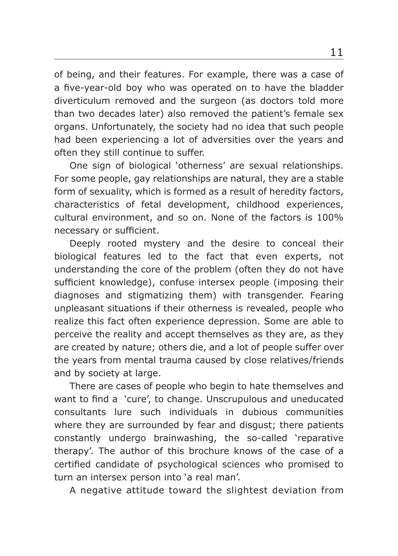of being, and their features. For example, there was a case of a five-year-old boy who was operated on to have the bladder diverticulum removed and the surgeon (as doctors told more than two decades later) also removed the patient's female sex organs. Unfortunately, the society had no idea that such people had been experiencing a lot of adversities over the years and often they still continue to suffer.

One sign of biological 'otherness' are sexual relationships. For some people, gay relationships are natural, they are a stable form of sexuality, which is formed as a result of heredity factors, characteristics of fetal development, childhood experiences, cultural environment, and so on. None of the factors is 100% necessary or sufficient.

Deeply rooted mystery and the desire to conceal their biological features led to the fact that even experts, not understanding the core of the problem (often they do not have sufficient knowledge), confuse intersex people (imposing their diagnoses and stigmatizing them) with transgender. Fearing unpleasant situations if their otherness is revealed, people who realize this fact often experience depression. Some are able to perceive the reality and accept themselves as they are, as they are created by nature; others die, and a lot of people suffer over the years from mental trauma caused by close relatives/friends and by society at large.

There are cases of people who begin to hate themselves and want to find a 'cure', to change. Unscrupulous and uneducated consultants lure such individuals in dubious communities where they are surrounded by fear and disgust; there patients constantly undergo brainwashing, the so-called 'reparative therapy'. The author of this brochure knows of the case of a certified candidate of psychological sciences who promised to turn an intersex person into 'a real man'.

A negative attitude toward the slightest deviation from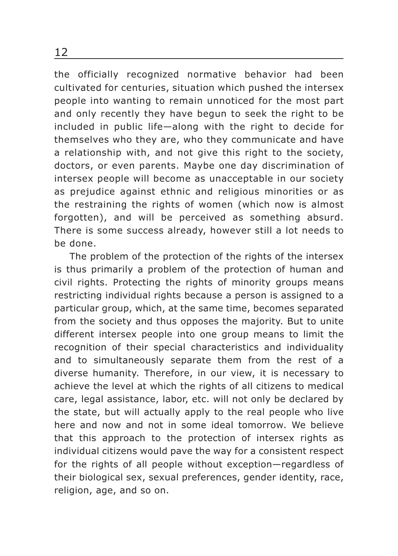the officially recognized normative behavior had been cultivated for centuries, situation which pushed the intersex people into wanting to remain unnoticed for the most part and only recently they have begun to seek the right to be included in public life—along with the right to decide for themselves who they are, who they communicate and have a relationship with, and not give this right to the society, doctors, or even parents. Maybe one day discrimination of intersex people will become as unacceptable in our society as prejudice against ethnic and religious minorities or as the restraining the rights of women (which now is almost forgotten), and will be perceived as something absurd. There is some success already, however still a lot needs to be done.

The problem of the protection of the rights of the intersex is thus primarily a problem of the protection of human and civil rights. Protecting the rights of minority groups means restricting individual rights because a person is assigned to a particular group, which, at the same time, becomes separated from the society and thus opposes the majority. But to unite different intersex people into one group means to limit the recognition of their special characteristics and individuality and to simultaneously separate them from the rest of a diverse humanity. Therefore, in our view, it is necessary to achieve the level at which the rights of all citizens to medical care, legal assistance, labor, etc. will not only be declared by the state, but will actually apply to the real people who live here and now and not in some ideal tomorrow. We believe that this approach to the protection of intersex rights as individual citizens would pave the way for a consistent respect for the rights of all people without exception—regardless of their biological sex, sexual preferences, gender identity, race, religion, age, and so on.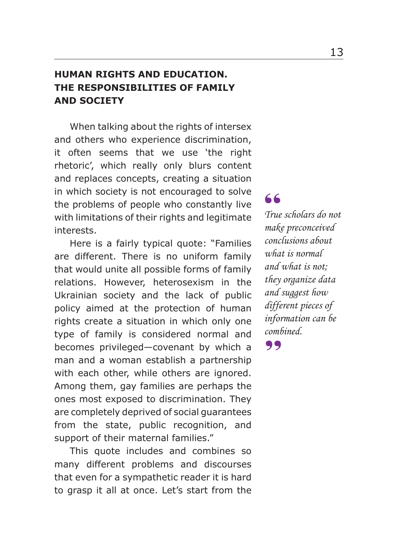# **HUMAN RIGHTS AND EDUCATION. THE RESPONSIBILITIES OF FAMILY AND SOCIETY**

When talking about the rights of intersex and others who experience discrimination, it often seems that we use 'the right rhetoric', which really only blurs content and replaces concepts, creating a situation in which society is not encouraged to solve the problems of people who constantly live with limitations of their rights and legitimate interests.

Here is a fairly typical quote: "Families are different. There is no uniform family that would unite all possible forms of family relations. However, heterosexism in the Ukrainian society and the lack of public policy aimed at the protection of human rights create a situation in which only one type of family is considered normal and becomes privileged—covenant by which a man and a woman establish a partnership with each other, while others are ignored. Among them, gay families are perhaps the ones most exposed to discrimination. They are completely deprived of social guarantees from the state, public recognition, and support of their maternal families."

This quote includes and combines so many different problems and discourses that even for a sympathetic reader it is hard to grasp it all at once. Let's start from the

*True scholars do not*  **66**<br>True scholars do no<br>make preconceived *conclusions about what is normal and what is not; they organize data and suggest how different pieces of information can be combined.*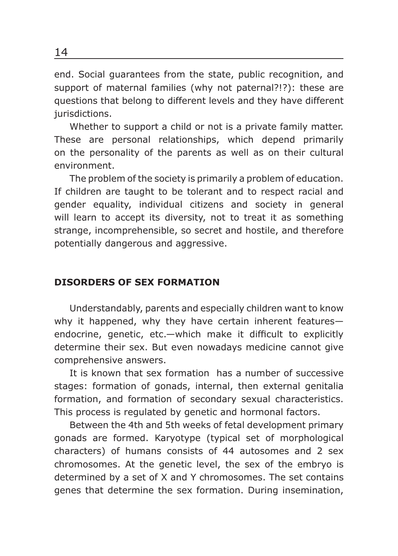end. Social guarantees from the state, public recognition, and support of maternal families (why not paternal?!?): these are questions that belong to different levels and they have different jurisdictions.

Whether to support a child or not is a private family matter. These are personal relationships, which depend primarily on the personality of the parents as well as on their cultural environment.

The problem of the society is primarily a problem of education. If children are taught to be tolerant and to respect racial and gender equality, individual citizens and society in general will learn to accept its diversity, not to treat it as something strange, incomprehensible, so secret and hostile, and therefore potentially dangerous and aggressive.

#### **DISORDERS OF SEX FORMATION**

Understandably, parents and especially children want to know why it happened, why they have certain inherent features endocrine, genetic, etc.—which make it difficult to explicitly determine their sex. But even nowadays medicine cannot give comprehensive answers.

It is known that sex formation has a number of successive stages: formation of gonads, internal, then external genitalia formation, and formation of secondary sexual characteristics. This process is regulated by genetic and hormonal factors.

Between the 4th and 5th weeks of fetal development primary gonads are formed. Karyotype (typical set of morphological characters) of humans consists of 44 autosomes and 2 sex chromosomes. At the genetic level, the sex of the embryo is determined by a set of X and Y chromosomes. The set contains genes that determine the sex formation. During insemination,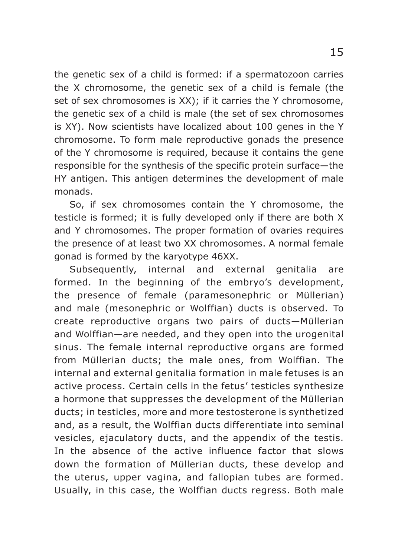the genetic sex of a child is formed: if a spermatozoon carries the X chromosome, the genetic sex of a child is female (the set of sex chromosomes is XX); if it carries the Y chromosome, the genetic sex of a child is male (the set of sex chromosomes is XY). Now scientists have localized about 100 genes in the Y chromosome. To form male reproductive gonads the presence of the Y chromosome is required, because it contains the gene responsible for the synthesis of the specific protein surface—the HY antigen. This antigen determines the development of male monads.

So, if sex chromosomes contain the Y chromosome, the testicle is formed; it is fully developed only if there are both X and Y chromosomes. The proper formation of ovaries requires the presence of at least two XX chromosomes. A normal female gonad is formed by the karyotype 46XX.

Subsequently, internal and external genitalia are formed. In the beginning of the embryo's development, the presence of female (paramesonephric or Müllerian) and male (mesonephric or Wolffian) ducts is observed. To create reproductive organs two pairs of ducts—Müllerian and Wolffian—are needed, and they open into the urogenital sinus. The female internal reproductive organs are formed from Müllerian ducts; the male ones, from Wolffian. The internal and external genitalia formation in male fetuses is an active process. Certain cells in the fetus' testicles synthesize a hormone that suppresses the development of the Müllerian ducts; in testicles, more and more testosterone is synthetized and, as a result, the Wolffian ducts differentiate into seminal vesicles, ejaculatory ducts, and the appendix of the testis. In the absence of the active influence factor that slows down the formation of Müllerian ducts, these develop and the uterus, upper vagina, and fallopian tubes are formed. Usually, in this case, the Wolffian ducts regress. Both male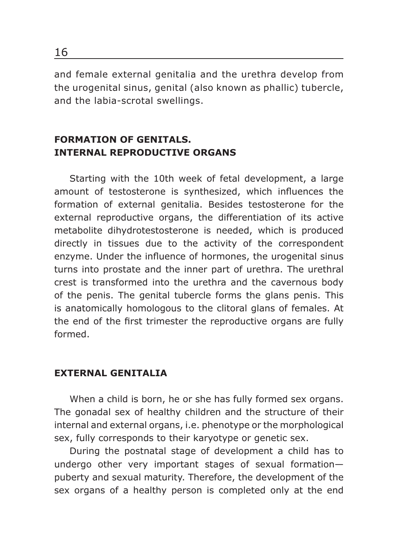and female external genitalia and the urethra develop from the urogenital sinus, genital (also known as phallic) tubercle, and the labia-scrotal swellings.

## **FORMATION OF GENITALS. INTERNAL REPRODUCTIVE ORGANS**

Starting with the 10th week of fetal development, a large amount of testosterone is synthesized, which influences the formation of external genitalia. Besides testosterone for the external reproductive organs, the differentiation of its active metabolite dihydrotestosterone is needed, which is produced directly in tissues due to the activity of the correspondent enzyme. Under the influence of hormones, the urogenital sinus turns into prostate and the inner part of urethra. The urethral crest is transformed into the urethra and the cavernous body of the penis. The genital tubercle forms the glans penis. This is anatomically homologous to the clitoral glans of females. At the end of the first trimester the reproductive organs are fully formed.

## **EXTERNAL GENITALIA**

When a child is born, he or she has fully formed sex organs. The gonadal sex of healthy children and the structure of their internal and external organs, i.e. phenotype or the morphological sex, fully corresponds to their karyotype or genetic sex.

During the postnatal stage of development a child has to undergo other very important stages of sexual formation puberty and sexual maturity. Therefore, the development of the sex organs of a healthy person is completed only at the end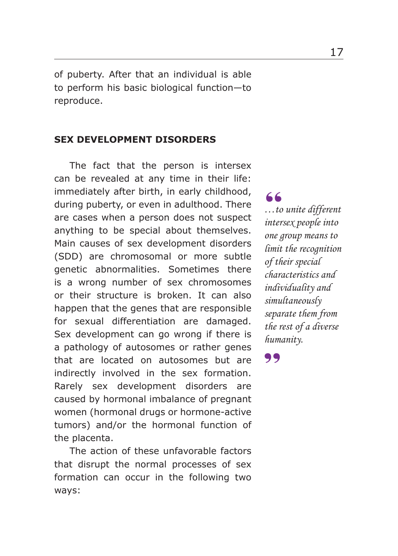of puberty. After that an individual is able to perform his basic biological function—to reproduce.

#### **SEX DEVELOPMENT DISORDERS**

The fact that the person is intersex can be revealed at any time in their life: immediately after birth, in early childhood, during puberty, or even in adulthood. There are cases when a person does not suspect anything to be special about themselves. Main causes of sex development disorders (SDD) are chromosomal or more subtle genetic abnormalities. Sometimes there is a wrong number of sex chromosomes or their structure is broken. It can also happen that the genes that are responsible for sexual differentiation are damaged. Sex development can go wrong if there is a pathology of autosomes or rather genes that are located on autosomes but are indirectly involved in the sex formation. Rarely sex development disorders are caused by hormonal imbalance of pregnant women (hormonal drugs or hormone-active tumors) and/or the hormonal function of the placenta.

The action of these unfavorable factors that disrupt the normal processes of sex formation can occur in the following two ways:

*…to unite different intersex people into*  " *one group means to limit the recognition of their special characteristics and individuality and simultaneously separate them from the rest of a diverse humanity.*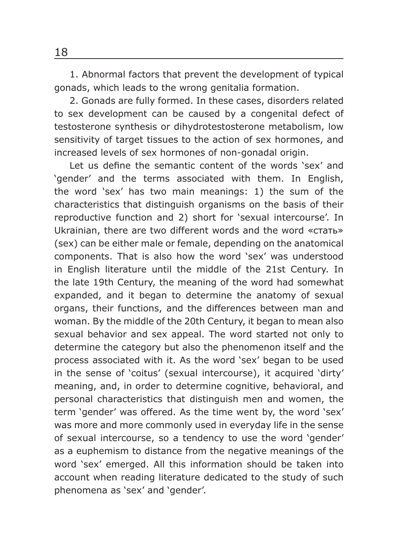1. Abnormal factors that prevent the development of typical gonads, which leads to the wrong genitalia formation.

2. Gonads are fully formed. In these cases, disorders related to sex development can be caused by a congenital defect of testosterone synthesis or dihydrotestosterone metabolism, low sensitivity of target tissues to the action of sex hormones, and increased levels of sex hormones of non-gonadal origin.

Let us define the semantic content of the words 'sex' and 'gender' and the terms associated with them. In English, the word 'sex' has two main meanings: 1) the sum of the characteristics that distinguish organisms on the basis of their reproductive function and 2) short for 'sexual intercourse'. In Ukrainian, there are two different words and the word «стать» (sex) can be either male or female, depending on the anatomical components. That is also how the word 'sex' was understood in English literature until the middle of the 21st Century. In the late 19th Century, the meaning of the word had somewhat expanded, and it began to determine the anatomy of sexual organs, their functions, and the differences between man and woman. By the middle of the 20th Century, it began to mean also sexual behavior and sex appeal. The word started not only to determine the category but also the phenomenon itself and the process associated with it. As the word 'sex' began to be used in the sense of 'coitus' (sexual intercourse), it acquired 'dirty' meaning, and, in order to determine cognitive, behavioral, and personal characteristics that distinguish men and women, the term 'gender' was offered. As the time went by, the word 'sex' was more and more commonly used in everyday life in the sense of sexual intercourse, so a tendency to use the word 'gender' as a euphemism to distance from the negative meanings of the word 'sex' emerged. All this information should be taken into account when reading literature dedicated to the study of such phenomena as 'sex' and 'gender'.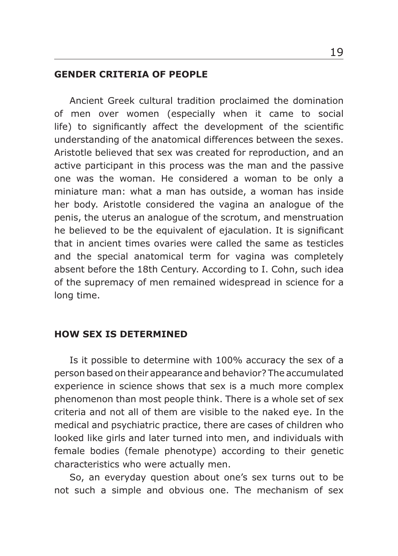#### **GENDER CRITERIA OF PEOPLE**

Ancient Greek cultural tradition proclaimed the domination of men over women (especially when it came to social life) to significantly affect the development of the scientific understanding of the anatomical differences between the sexes. Aristotle believed that sex was created for reproduction, and an active participant in this process was the man and the passive one was the woman. He considered a woman to be only a miniature man: what a man has outside, a woman has inside her body. Aristotle considered the vagina an analogue of the penis, the uterus an analogue of the scrotum, and menstruation he believed to be the equivalent of ejaculation. It is significant that in ancient times ovaries were called the same as testicles and the special anatomical term for vagina was completely absent before the 18th Century. According to I. Cohn, such idea of the supremacy of men remained widespread in science for a long time.

### **HOW SEX IS DETERMINED**

Is it possible to determine with 100% accuracy the sex of a person based on their appearance and behavior? The accumulated experience in science shows that sex is a much more complex phenomenon than most people think. There is a whole set of sex criteria and not all of them are visible to the naked eye. In the medical and psychiatric practice, there are cases of children who looked like girls and later turned into men, and individuals with female bodies (female phenotype) according to their genetic characteristics who were actually men.

So, an everyday question about one's sex turns out to be not such a simple and obvious one. The mechanism of sex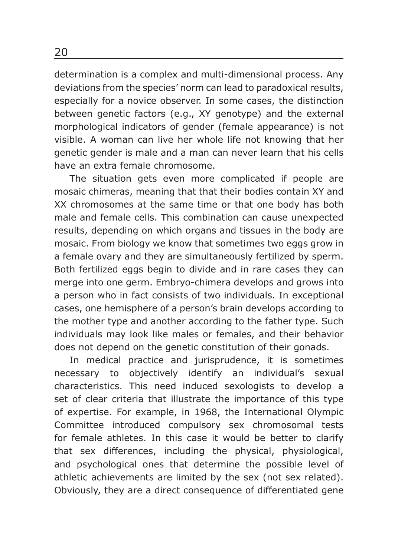determination is a complex and multi-dimensional process. Any deviations from the species' norm can lead to paradoxical results, especially for a novice observer. In some cases, the distinction between genetic factors (e.g., XY genotype) and the external morphological indicators of gender (female appearance) is not visible. A woman can live her whole life not knowing that her genetic gender is male and a man can never learn that his cells have an extra female chromosome.

The situation gets even more complicated if people are mosaic chimeras, meaning that that their bodies contain XY and XX chromosomes at the same time or that one body has both male and female cells. This combination can cause unexpected results, depending on which organs and tissues in the body are mosaic. From biology we know that sometimes two eggs grow in a female ovary and they are simultaneously fertilized by sperm. Both fertilized eggs begin to divide and in rare cases they can merge into one germ. Embryo-chimera develops and grows into a person who in fact consists of two individuals. In exceptional cases, one hemisphere of a person's brain develops according to the mother type and another according to the father type. Such individuals may look like males or females, and their behavior does not depend on the genetic constitution of their gonads.

In medical practice and jurisprudence, it is sometimes necessary to objectively identify an individual's sexual characteristics. This need induced sexologists to develop a set of clear criteria that illustrate the importance of this type of expertise. For example, in 1968, the International Olympic Committee introduced compulsory sex chromosomal tests for female athletes. In this case it would be better to clarify that sex differences, including the physical, physiological, and psychological ones that determine the possible level of athletic achievements are limited by the sex (not sex related). Obviously, they are a direct consequence of differentiated gene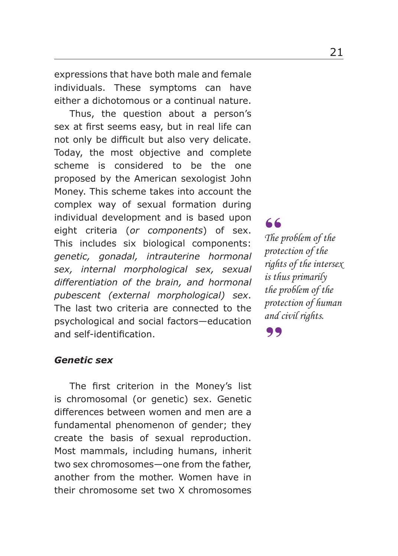expressions that have both male and female individuals. These symptoms can have either a dichotomous or a continual nature.

Thus, the question about a person's sex at first seems easy, but in real life can not only be difficult but also very delicate. Today, the most objective and complete scheme is considered to be the one proposed by the American sexologist John Money. This scheme takes into account the complex way of sexual formation during individual development and is based upon eight criteria (*or components*) of sex. This includes six biological components: *genetic, gonadal, intrauterine hormonal sex, internal morphological sex, sexual differentiation of the brain, and hormonal pubescent (external morphological) sex*. The last two criteria are connected to the psychological and social factors—education and self-identification.

#### *Genetic sex*

The first criterion in the Money's list is chromosomal (or genetic) sex. Genetic differences between women and men are a fundamental phenomenon of gender; they create the basis of sexual reproduction. Most mammals, including humans, inherit two sex chromosomes—one from the father, another from the mother. Women have in their chromosome set two X chromosomes

*The problem of the protection of the rights of the intersex is thus primarily the problem of the protection of human and civil rights.*  $\begin{array}{c} 66 \\ \text{The } p \end{array}$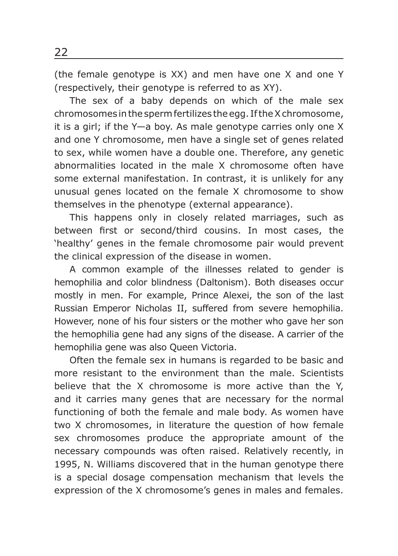(the female genotype is XX) and men have one X and one Y (respectively, their genotype is referred to as XY).

The sex of a baby depends on which of the male sex chromosomes in the sperm fertilizes the egg. If the X chromosome, it is a girl; if the Y—a boy. As male genotype carries only one X and one Y chromosome, men have a single set of genes related to sex, while women have a double one. Therefore, any genetic abnormalities located in the male X chromosome often have some external manifestation. In contrast, it is unlikely for any unusual genes located on the female X chromosome to show themselves in the phenotype (external appearance).

This happens only in closely related marriages, such as between first or second/third cousins. In most cases, the 'healthy' genes in the female chromosome pair would prevent the clinical expression of the disease in women.

A common example of the illnesses related to gender is hemophilia and color blindness (Daltonism). Both diseases occur mostly in men. For example, Prince Alexei, the son of the last Russian Emperor Nicholas II, suffered from severe hemophilia. However, none of his four sisters or the mother who gave her son the hemophilia gene had any signs of the disease. A carrier of the hemophilia gene was also Queen Victoria.

Often the female sex in humans is regarded to be basic and more resistant to the environment than the male. Scientists believe that the X chromosome is more active than the Y, and it carries many genes that are necessary for the normal functioning of both the female and male body. As women have two X chromosomes, in literature the question of how female sex chromosomes produce the appropriate amount of the necessary compounds was often raised. Relatively recently, in 1995, N. Williams discovered that in the human genotype there is a special dosage compensation mechanism that levels the expression of the X chromosome's genes in males and females.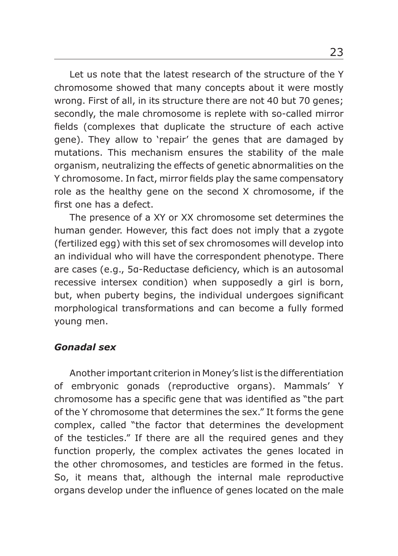Let us note that the latest research of the structure of the Y chromosome showed that many concepts about it were mostly wrong. First of all, in its structure there are not 40 but 70 genes; secondly, the male chromosome is replete with so-called mirror fields (complexes that duplicate the structure of each active gene). They allow to 'repair' the genes that are damaged by mutations. This mechanism ensures the stability of the male organism, neutralizing the effects of genetic abnormalities on the Y chromosome. In fact, mirror fields play the same compensatory role as the healthy gene on the second X chromosome, if the first one has a defect.

The presence of a XY or XX chromosome set determines the human gender. However, this fact does not imply that a zygote (fertilized egg) with this set of sex chromosomes will develop into an individual who will have the correspondent phenotype. There are cases (e.g., 5a-Reductase deficiency, which is an autosomal recessive intersex condition) when supposedly a girl is born, but, when puberty begins, the individual undergoes significant morphological transformations and can become a fully formed young men.

#### *Gonadal sex*

Another important criterion in Money's list is the differentiation of embryonic gonads (reproductive organs). Mammals' Y chromosome has a specific gene that was identified as "the part of the Y chromosome that determines the sex." It forms the gene complex, called "the factor that determines the development of the testicles." If there are all the required genes and they function properly, the complex activates the genes located in the other chromosomes, and testicles are formed in the fetus. So, it means that, although the internal male reproductive organs develop under the influence of genes located on the male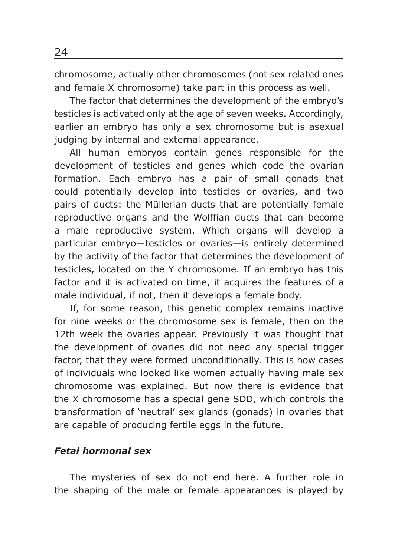chromosome, actually other chromosomes (not sex related ones and female X chromosome) take part in this process as well.

The factor that determines the development of the embryo's testicles is activated only at the age of seven weeks. Accordingly, earlier an embryo has only a sex chromosome but is asexual judging by internal and external appearance.

All human embryos contain genes responsible for the development of testicles and genes which code the ovarian formation. Each embryo has a pair of small gonads that could potentially develop into testicles or ovaries, and two pairs of ducts: the Müllerian ducts that are potentially female reproductive organs and the Wolffian ducts that can become a male reproductive system. Which organs will develop a particular embryo—testicles or ovaries—is entirely determined by the activity of the factor that determines the development of testicles, located on the Y chromosome. If an embryo has this factor and it is activated on time, it acquires the features of a male individual, if not, then it develops a female body.

If, for some reason, this genetic complex remains inactive for nine weeks or the chromosome sex is female, then on the 12th week the ovaries appear. Previously it was thought that the development of ovaries did not need any special trigger factor, that they were formed unconditionally. This is how cases of individuals who looked like women actually having male sex chromosome was explained. But now there is evidence that the X chromosome has a special gene SDD, which controls the transformation of 'neutral' sex glands (gonads) in ovaries that are capable of producing fertile eggs in the future.

#### *Fetal hormonal sex*

The mysteries of sex do not end here. A further role in the shaping of the male or female appearances is played by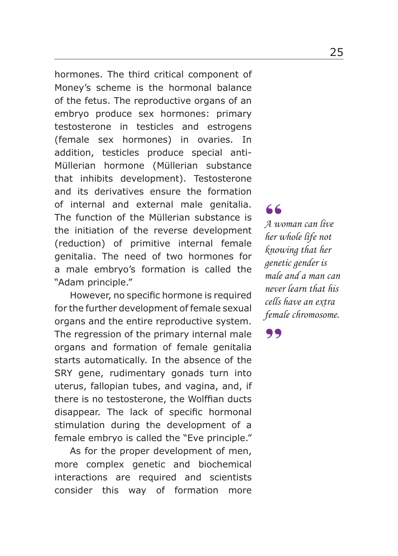hormones. The third critical component of Money's scheme is the hormonal balance of the fetus. The reproductive organs of an embryo produce sex hormones: primary testosterone in testicles and estrogens (female sex hormones) in ovaries. In addition, testicles produce special anti-Müllerian hormone (Müllerian substance that inhibits development). Testosterone and its derivatives ensure the formation of internal and external male genitalia. The function of the Müllerian substance is the initiation of the reverse development (reduction) of primitive internal female genitalia. The need of two hormones for a male embryo's formation is called the "Adam principle."

However, no specific hormone is required for the further development of female sexual organs and the entire reproductive system. The regression of the primary internal male organs and formation of female genitalia starts automatically. In the absence of the SRY gene, rudimentary gonads turn into uterus, fallopian tubes, and vagina, and, if there is no testosterone, the Wolffian ducts disappear. The lack of specific hormonal stimulation during the development of a female embryo is called the "Eve principle."

As for the proper development of men, more complex genetic and biochemical interactions are required and scientists consider this way of formation more

*A woman can live*  **66**<br>*A* woman can live<br>her whole life not *knowing that her genetic gender is male and a man can never learn that his cells have an extra female chromosome.*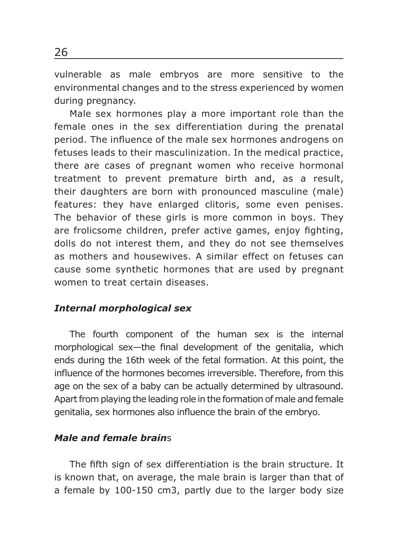vulnerable as male embryos are more sensitive to the environmental changes and to the stress experienced by women during pregnancy.

Male sex hormones play a more important role than the female ones in the sex differentiation during the prenatal period. The influence of the male sex hormones androgens on fetuses leads to their masculinization. In the medical practice, there are cases of pregnant women who receive hormonal treatment to prevent premature birth and, as a result, their daughters are born with pronounced masculine (male) features: they have enlarged clitoris, some even penises. The behavior of these girls is more common in boys. They are frolicsome children, prefer active games, enjoy fighting, dolls do not interest them, and they do not see themselves as mothers and housewives. A similar effect on fetuses can cause some synthetic hormones that are used by pregnant women to treat certain diseases.

#### *Internal morphological sex*

The fourth component of the human sex is the internal morphological sex-the final development of the genitalia, which ends during the 16th week of the fetal formation. At this point, the influence of the hormones becomes irreversible. Therefore, from this age on the sex of a baby can be actually determined by ultrasound. Apart from playing the leading role in the formation of male and female genitalia, sex hormones also influence the brain of the embryo.

## *Male and female brain*s

The fifth sign of sex differentiation is the brain structure. It is known that, on average, the male brain is larger than that of a female by 100-150 cm3, partly due to the larger body size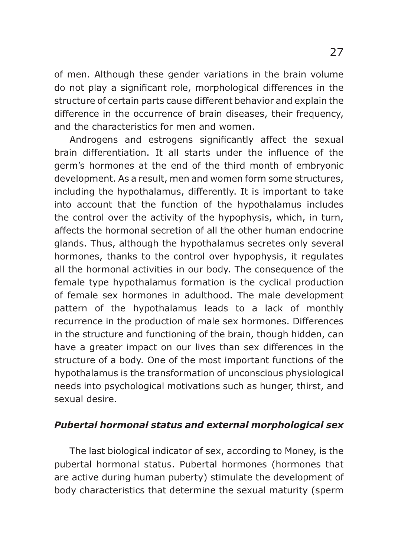of men. Although these gender variations in the brain volume do not play a significant role, morphological differences in the structure of certain parts cause different behavior and explain the difference in the occurrence of brain diseases, their frequency, and the characteristics for men and women.

Androgens and estrogens significantly affect the sexual brain differentiation. It all starts under the influence of the germ's hormones at the end of the third month of embryonic development. As a result, men and women form some structures, including the hypothalamus, differently. It is important to take into account that the function of the hypothalamus includes the control over the activity of the hypophysis, which, in turn, affects the hormonal secretion of all the other human endocrine glands. Thus, although the hypothalamus secretes only several hormones, thanks to the control over hypophysis, it regulates all the hormonal activities in our body. The consequence of the female type hypothalamus formation is the cyclical production of female sex hormones in adulthood. The male development pattern of the hypothalamus leads to a lack of monthly recurrence in the production of male sex hormones. Differences in the structure and functioning of the brain, though hidden, can have a greater impact on our lives than sex differences in the structure of a body. One of the most important functions of the hypothalamus is the transformation of unconscious physiological needs into psychological motivations such as hunger, thirst, and sexual desire.

## *Pubertal hormonal status and external morphological sex*

The last biological indicator of sex, according to Money, is the pubertal hormonal status. Pubertal hormones (hormones that are active during human puberty) stimulate the development of body characteristics that determine the sexual maturity (sperm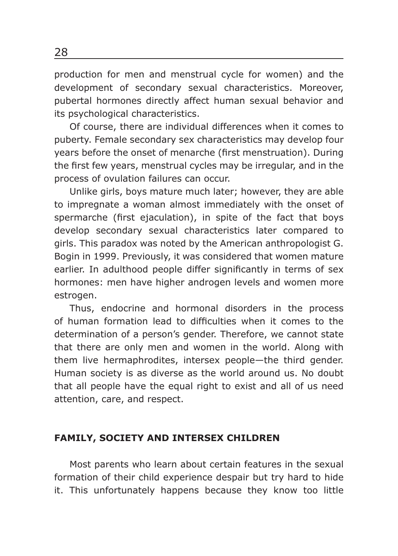production for men and menstrual cycle for women) and the development of secondary sexual characteristics. Moreover, pubertal hormones directly affect human sexual behavior and its psychological characteristics.

Of course, there are individual differences when it comes to puberty. Female secondary sex characteristics may develop four years before the onset of menarche (first menstruation). During the first few years, menstrual cycles may be irregular, and in the process of ovulation failures can occur.

Unlike girls, boys mature much later; however, they are able to impregnate a woman almost immediately with the onset of spermarche (first ejaculation), in spite of the fact that boys develop secondary sexual characteristics later compared to girls. This paradox was noted by the American anthropologist G. Bogin in 1999. Previously, it was considered that women mature earlier. In adulthood people differ significantly in terms of sex hormones: men have higher androgen levels and women more estrogen.

Thus, endocrine and hormonal disorders in the process of human formation lead to difficulties when it comes to the determination of a person's gender. Therefore, we cannot state that there are only men and women in the world. Along with them live hermaphrodites, intersex people—the third gender. Human society is as diverse as the world around us. No doubt that all people have the equal right to exist and all of us need attention, care, and respect.

#### **FAMILY, SOCIETY AND INTERSEX CHILDREN**

Most parents who learn about certain features in the sexual formation of their child experience despair but try hard to hide it. This unfortunately happens because they know too little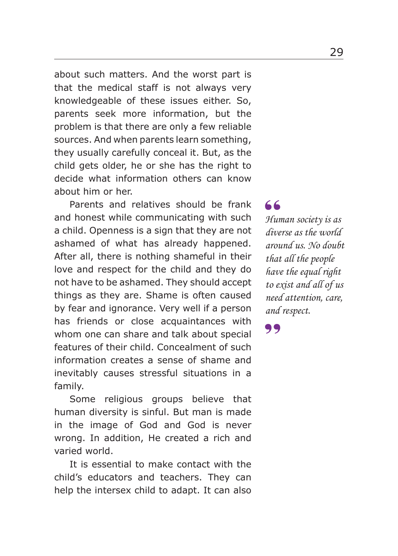about such matters. And the worst part is that the medical staff is not always very knowledgeable of these issues either. So, parents seek more information, but the problem is that there are only a few reliable sources. And when parents learn something, they usually carefully conceal it. But, as the child gets older, he or she has the right to decide what information others can know about him or her.

Parents and relatives should be frank and honest while communicating with such a child. Openness is a sign that they are not ashamed of what has already happened. After all, there is nothing shameful in their love and respect for the child and they do not have to be ashamed. They should accept things as they are. Shame is often caused by fear and ignorance. Very well if a person has friends or close acquaintances with whom one can share and talk about special features of their child. Concealment of such information creates a sense of shame and inevitably causes stressful situations in a family.

Some religious groups believe that human diversity is sinful. But man is made in the image of God and God is never wrong. In addition, He created a rich and varied world.

It is essential to make contact with the child's educators and teachers. They can help the intersex child to adapt. It can also

*Human society is as diverse as the world around us. No doubt that all the people have the equal right to exist and all of us need attention, care, and respect.* 66<br>Hun<br>dive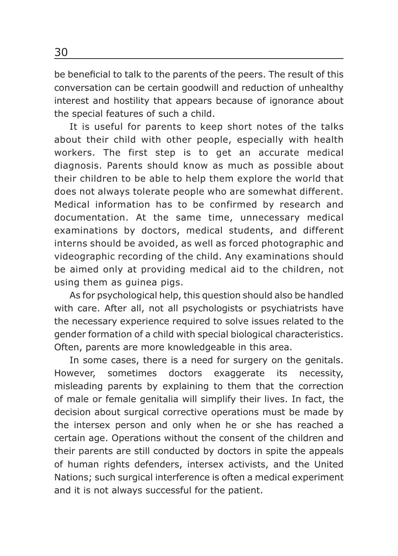be beneficial to talk to the parents of the peers. The result of this conversation can be certain goodwill and reduction of unhealthy interest and hostility that appears because of ignorance about the special features of such a child.

It is useful for parents to keep short notes of the talks about their child with other people, especially with health workers. The first step is to get an accurate medical diagnosis. Parents should know as much as possible about their children to be able to help them explore the world that does not always tolerate people who are somewhat different. Medical information has to be confirmed by research and documentation. At the same time, unnecessary medical examinations by doctors, medical students, and different interns should be avoided, as well as forced photographic and videographic recording of the child. Any examinations should be aimed only at providing medical aid to the children, not using them as guinea pigs.

As for psychological help, this question should also be handled with care. After all, not all psychologists or psychiatrists have the necessary experience required to solve issues related to the gender formation of a child with special biological characteristics. Often, parents are more knowledgeable in this area.

In some cases, there is a need for surgery on the genitals. However, sometimes doctors exaggerate its necessity, misleading parents by explaining to them that the correction of male or female genitalia will simplify their lives. In fact, the decision about surgical corrective operations must be made by the intersex person and only when he or she has reached a certain age. Operations without the consent of the children and their parents are still conducted by doctors in spite the appeals of human rights defenders, intersex activists, and the United Nations; such surgical interference is often a medical experiment and it is not always successful for the patient.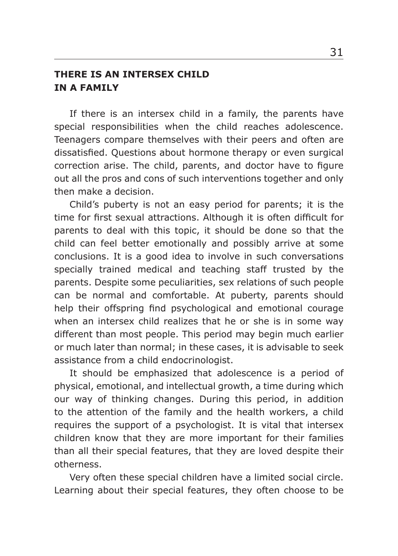## **THERE IS AN INTERSEX CHILD IN A FAMILY**

If there is an intersex child in a family, the parents have special responsibilities when the child reaches adolescence. Teenagers compare themselves with their peers and often are dissatisfied. Questions about hormone therapy or even surgical correction arise. The child, parents, and doctor have to figure out all the pros and cons of such interventions together and only then make a decision.

Child's puberty is not an easy period for parents; it is the time for first sexual attractions. Although it is often difficult for parents to deal with this topic, it should be done so that the child can feel better emotionally and possibly arrive at some conclusions. It is a good idea to involve in such conversations specially trained medical and teaching staff trusted by the parents. Despite some peculiarities, sex relations of such people can be normal and comfortable. At puberty, parents should help their offspring find psychological and emotional courage when an intersex child realizes that he or she is in some way different than most people. This period may begin much earlier or much later than normal; in these cases, it is advisable to seek assistance from a child endocrinologist.

It should be emphasized that adolescence is a period of physical, emotional, and intellectual growth, a time during which our way of thinking changes. During this period, in addition to the attention of the family and the health workers, a child requires the support of a psychologist. It is vital that intersex children know that they are more important for their families than all their special features, that they are loved despite their otherness.

Very often these special children have a limited social circle. Learning about their special features, they often choose to be